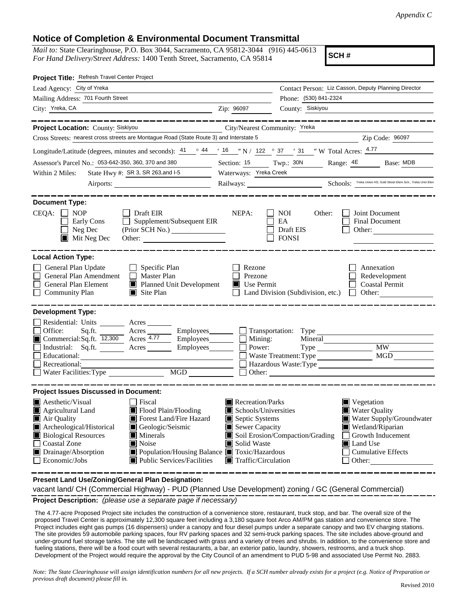## **Notice of Completion & Environmental Document Transmittal**

*Mail to:* State Clearinghouse, P.O. Box 3044, Sacramento, CA 95812-3044 (916) 445-0613 *For Hand Delivery/Street Address:* 1400 Tenth Street, Sacramento, CA 95814

**SCH #**

| Project Title: Refresh Travel Center Project                                                                                                                                                                                                                                                                                                                                                                                                                                  |                                                                                                                                                  |                                                                |                                                                                                                                                                                            |  |
|-------------------------------------------------------------------------------------------------------------------------------------------------------------------------------------------------------------------------------------------------------------------------------------------------------------------------------------------------------------------------------------------------------------------------------------------------------------------------------|--------------------------------------------------------------------------------------------------------------------------------------------------|----------------------------------------------------------------|--------------------------------------------------------------------------------------------------------------------------------------------------------------------------------------------|--|
| Lead Agency: City of Yreka                                                                                                                                                                                                                                                                                                                                                                                                                                                    |                                                                                                                                                  |                                                                | Contact Person: Liz Casson, Deputy Planning Director                                                                                                                                       |  |
| Mailing Address: 701 Fourth Street                                                                                                                                                                                                                                                                                                                                                                                                                                            |                                                                                                                                                  | Phone: (530) 841-2324<br>County: Siskiyou                      |                                                                                                                                                                                            |  |
| City: Yreka, CA<br><u>2</u> Zip: 96097                                                                                                                                                                                                                                                                                                                                                                                                                                        |                                                                                                                                                  |                                                                |                                                                                                                                                                                            |  |
| . __ __ __ __ __ __ __ __ __ __<br>Project Location: County: Siskiyou<br>City/Nearest Community: Yreka                                                                                                                                                                                                                                                                                                                                                                        |                                                                                                                                                  |                                                                | ____________________                                                                                                                                                                       |  |
| Cross Streets: nearest cross streets are Montague Road (State Route 3) and Interstate 5                                                                                                                                                                                                                                                                                                                                                                                       |                                                                                                                                                  |                                                                | Zip Code: 96097                                                                                                                                                                            |  |
| Longitude/Latitude (degrees, minutes and seconds): $\frac{41}{9}$ $\frac{44}{16}$ $\frac{16}{16}$ $\frac{16}{12}$ $\frac{16}{122}$ $\frac{16}{9}$ $\frac{37}{123}$ $\frac{131}{12}$ $\frac{17}{120}$ $\frac{4.77}{120}$                                                                                                                                                                                                                                                       |                                                                                                                                                  |                                                                |                                                                                                                                                                                            |  |
| Assessor's Parcel No.: 053-642-350, 360, 370 and 380<br>$\frac{1}{1-\frac{1}{1-\frac{1}{1-\frac{1}{1-\frac{1}{1-\frac{1}{1-\frac{1}{1-\frac{1}{1-\frac{1}{1-\frac{1}{1-\frac{1}{1-\frac{1}{1-\frac{1}{1-\frac{1}{1-\frac{1}{1-\frac{1}{1-\frac{1}{1-\frac{1}{1-\frac{1}{1-\frac{1}{1-\frac{1}{1-\frac{1}{1-\frac{1}{1-\frac{1}{1-\frac{1}{1-\frac{1}{1-\frac{1}{1-\frac{1}{1-\frac{1}{1-\frac{1}{1-\frac{1}{1-\frac{1}{1-\frac{1}{1-\frac{1}{1-\frac{1}{1-\frac{1}{1-\frac{1$ |                                                                                                                                                  |                                                                | Section: 15 Twp.: 30N Range: 4E Base: MDB                                                                                                                                                  |  |
| State Hwy #: SR 3, SR 263, and I-5 Waterways: Yreka Creek<br>Within 2 Miles:                                                                                                                                                                                                                                                                                                                                                                                                  |                                                                                                                                                  |                                                                |                                                                                                                                                                                            |  |
| Airports: <u>Nicholas Schools: Treka Union HS, Gold Street Elem Sch., Yreka Union HS, Gold Street Elem Sch., Yreka Unin Elem</u>                                                                                                                                                                                                                                                                                                                                              |                                                                                                                                                  |                                                                |                                                                                                                                                                                            |  |
|                                                                                                                                                                                                                                                                                                                                                                                                                                                                               |                                                                                                                                                  |                                                                |                                                                                                                                                                                            |  |
| <b>Document Type:</b><br>$CEQA: \Box NP$<br>$\Box$ Draft EIR<br>Early Cons<br>$\Box$ Supplement/Subsequent EIR<br>$\Box$ Neg Dec<br>$\blacksquare$ Mit Neg Dec<br>Other:                                                                                                                                                                                                                                                                                                      | NEPA:                                                                                                                                            | $\Box$ NOI<br>Other:<br>EA<br>$\Box$ Draft EIS<br>$\Box$ FONSI | Joint Document<br>$\perp$<br><b>Final Document</b><br>$\Box$<br>Other:                                                                                                                     |  |
| <b>Local Action Type:</b>                                                                                                                                                                                                                                                                                                                                                                                                                                                     |                                                                                                                                                  |                                                                |                                                                                                                                                                                            |  |
| General Plan Update<br>$\Box$ Specific Plan<br>General Plan Amendment   Master Plan<br>$\Box$<br>Planned Unit Development Use Permit<br>General Plan Element<br>$\Box$<br><b>Community Plan</b><br>$\blacksquare$ Site Plan                                                                                                                                                                                                                                                   | Rezone<br>$\Box$ Prezone                                                                                                                         |                                                                | Annexation<br>Redevelopment<br>$\Box$ Coastal Permit<br>$\Box$ Land Division (Subdivision, etc.) $\Box$ Other:                                                                             |  |
| <b>Development Type:</b>                                                                                                                                                                                                                                                                                                                                                                                                                                                      |                                                                                                                                                  |                                                                |                                                                                                                                                                                            |  |
| Residential: Units ________ Acres _____<br>Sq.ft. <u>Acres</u> Acres Employees <b>Exercise Employees Contained Property</b> Transportation: Type<br>Office:<br>Commercial:Sq.ft. 12,300 Acres 4.77 Employees Mining: Mineral Mineral Mustrial: Sq.ft. 12,300 Acres Employees Mining: Mining: Mineral MW<br>Educational:<br>Recreational:<br>Waste Treatment: Type<br>Waste Treatment: Type<br>MGD<br>Waste: Type<br>MGD<br>Other:                                             |                                                                                                                                                  |                                                                |                                                                                                                                                                                            |  |
| <b>Project Issues Discussed in Document:</b>                                                                                                                                                                                                                                                                                                                                                                                                                                  |                                                                                                                                                  |                                                                |                                                                                                                                                                                            |  |
| Aesthetic/Visual<br>$\Box$ Fiscal<br>Flood Plain/Flooding<br>$\blacksquare$ Agricultural Land<br>Air Quality<br>Forest Land/Fire Hazard<br>Archeological/Historical<br>Geologic/Seismic<br><b>Biological Resources</b><br>$\blacksquare$ Minerals<br>Coastal Zone<br>$\blacksquare$ Noise<br>Drainage/Absorption<br>■ Population/Housing Balance ■ Toxic/Hazardous<br><b>E</b> Public Services/Facilities<br>$\Box$ Economic/Jobs                                             | Recreation/Parks<br>$\blacksquare$ Schools/Universities<br>Septic Systems<br>Sewer Capacity<br>Solid Waste<br>$\blacksquare$ Traffic/Circulation | Soil Erosion/Compaction/Grading                                | Vegetation<br>■ Water Quality<br>Water Supply/Groundwater<br>Wetland/Riparian<br>Growth Inducement<br>$\mathbf{I}$<br><b>Land Use</b><br><b>Cumulative Effects</b><br>$\Box$ Other: $\Box$ |  |

**Present Land Use/Zoning/General Plan Designation:**

vacant land/ CH (Commercial Highway) - PUD (Planned Use Development) zoning / GC (General Commercial)

**Project Description:** *(please use a separate page if necessary)*

 The 4.77-acre Proposed Project site includes the construction of a convenience store, restaurant, truck stop, and bar. The overall size of the proposed Travel Center is approximately 12,300 square feet including a 3,180 square foot Arco AM/PM gas station and convenience store. The Project includes eight gas pumps (16 dispensers) under a canopy and four diesel pumps under a separate canopy and two EV charging stations. The site provides 59 automobile parking spaces, four RV parking spaces and 32 semi-truck parking spaces. The site includes above-ground and under-ground fuel storage tanks. The site will be landscaped with grass and a variety of trees and shrubs. In addition, to the convenience store and fueling stations, there will be a food court with several restaurants, a bar, an exterior patio, laundry, showers, restrooms, and a truck shop. Development of the Project would require the approval by the City Council of an amendment to PUD 5-98 and associated Use Permit No. 2883.

*Note: The State Clearinghouse will assign identification numbers for all new projects. If a SCH number already exists for a project (e.g. Notice of Preparation or previous draft document) please fill in.*